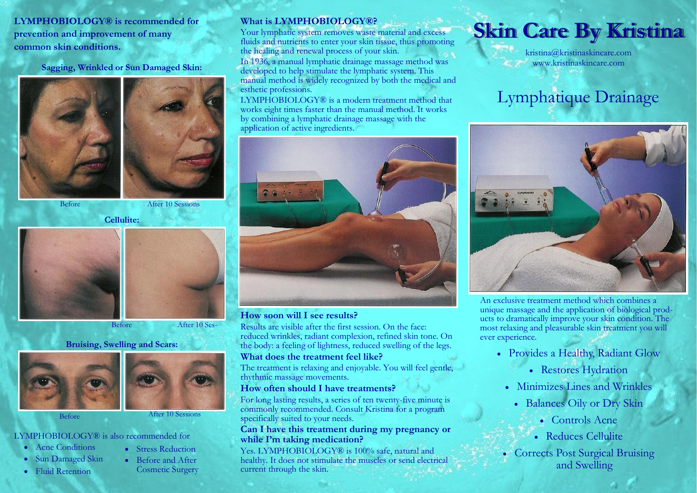LYMPHOBIOLOGY® is recommended for prevention and improvement of many common skin conditions.

Sagging, Wrinkled or Sun Damaged Skin:





Before After 10 Sessions

Cellulite:





Before After 10 Ses-

#### Bruising, Swelling and Scars:





Before After 10 Sessions

#### LYMPHOBIOLOGY® is also recommended for

- Acne Conditions
- Sun Damaged Skin
- · Fluid Retention
- Stress Reduction · Before and After Cosmetic Surgery

#### What is LYMPHOBIOLOGY®?

Your lymphatic system removes waste material and excess fluids and nutrients to enter your skin tissue, thus promoting the healing and renewal process of your skin.

In 1936, a manual lymphatic drainage massage method was developed to help stimulate the lymphatic system. This manual method is widely recognized by both the medical and esthetic professions.

LYMPHOBIOLOGY® is a modern treatment method that works eight times faster than the manual method. It works by combining a lymphatic drainage massage with the application of active ingredients.



#### How soon will I see results?

Results are visible after the first session. On the face: reduced wrinkles, radiant complexion, refined skin tone. On the body: a feeling of lightness, reduced swelling of the legs.

#### What does the treatment feel like?

The treatment is relaxing and enjoyable. You will feel gentle, rhythmic massage movements.

#### How often should I have treatments?

For long lasting results, a series of ten twenty-five minute is commonly recommended. Consult Kristina for a program specifically suited to your needs.

#### Can I have this treatment during my pregnancy or while I'm taking medication?

Yes. LYMPHOBIOLOGY® is 100% safe, natural and healthy. It does not stimulate the muscles or send electrical current through the skin.

# Skin Care By Kristina

kristina@kristinaskincare.com www.kristinaskincare.com

### Lymphatique Drainage



An exclusive treatment method which combines a unique massage and the application of biological products to dramatically improve your skin condition. The most relaxing and pleasurable skin treatment you will ever experience.

- · Provides a Healthy, Radiant Glow
	- · Restores Hydration
- · Minimizes Lines and Wrinkles
	- · Balances Oily or Dry Skin
		- · Controls Acne
		- · Reduces Cellulite
- · Corrects Post Surgical Bruising and Swelling